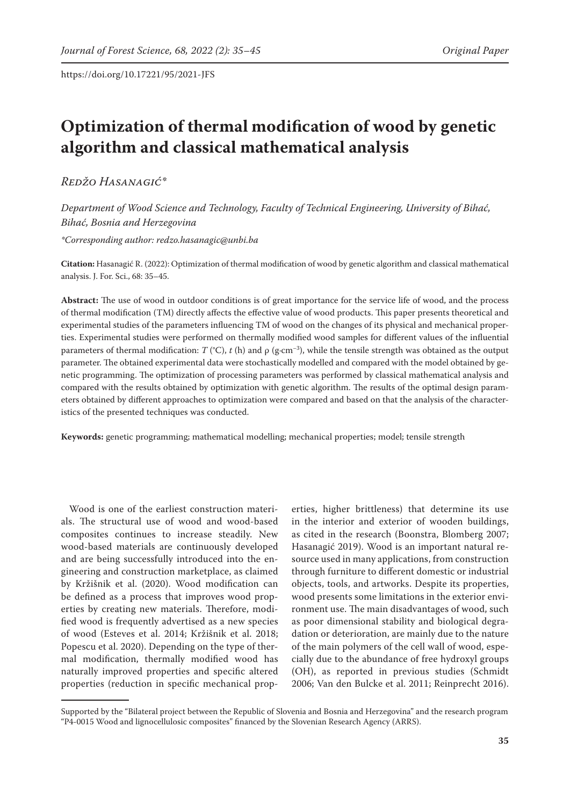# **Optimization of thermal modification of wood by genetic algorithm and classical mathematical analysis**

*Redžo Hasanagić\**

*Department of Wood Science and Technology, Faculty of Technical Engineering, University of Bihać, Bihać, Bosnia and Herzegovina*

*\*Corresponding author: redzo.hasanagic@unbi.ba*

**Citation:** Hasanagić R. (2022): Optimization of thermal modification of wood by genetic algorithm and classical mathematical analysis. J. For. Sci., 68: 35–45.

**Abstract:** The use of wood in outdoor conditions is of great importance for the service life of wood, and the process of thermal modification (TM) directly affects the effective value of wood products. This paper presents theoretical and experimental studies of the parameters influencing TM of wood on the changes of its physical and mechanical properties. Experimental studies were performed on thermally modified wood samples for different values of the influential parameters of thermal modification:  $T$  (°C),  $t$  (h) and  $\rho$  (g·cm<sup>-3</sup>), while the tensile strength was obtained as the output parameter. The obtained experimental data were stochastically modelled and compared with the model obtained by genetic programming. The optimization of processing parameters was performed by classical mathematical analysis and compared with the results obtained by optimization with genetic algorithm. The results of the optimal design parameters obtained by different approaches to optimization were compared and based on that the analysis of the characteristics of the presented techniques was conducted.

**Keywords:** genetic programming; mathematical modelling; mechanical properties; model; tensile strength

Wood is one of the earliest construction materials. The structural use of wood and wood-based composites continues to increase steadily. New wood-based materials are continuously developed and are being successfully introduced into the engineering and construction marketplace, as claimed by Kržišnik et al. (2020). Wood modification can be defined as a process that improves wood properties by creating new materials. Therefore, modified wood is frequently advertised as a new species of wood (Esteves et al. 2014; Kržišnik et al. 2018; Popescu et al. 2020). Depending on the type of thermal modification, thermally modified wood has naturally improved properties and specific altered properties (reduction in specific mechanical prop-

erties, higher brittleness) that determine its use in the interior and exterior of wooden buildings, as cited in the research (Boonstra, Blomberg 2007; Hasanagić 2019). Wood is an important natural resource used in many applications, from construction through furniture to different domestic or industrial objects, tools, and artworks. Despite its properties, wood presents some limitations in the exterior environment use. The main disadvantages of wood, such as poor dimensional stability and biological degradation or deterioration, are mainly due to the nature of the main polymers of the cell wall of wood, especially due to the abundance of free hydroxyl groups (OH), as reported in previous studies (Schmidt 2006; Van den Bulcke et al. 2011; Reinprecht 2016).

Supported by the "Bilateral project between the Republic of Slovenia and Bosnia and Herzegovina" and the research program "P4-0015 Wood and lignocellulosic composites" financed by the Slovenian Research Agency (ARRS).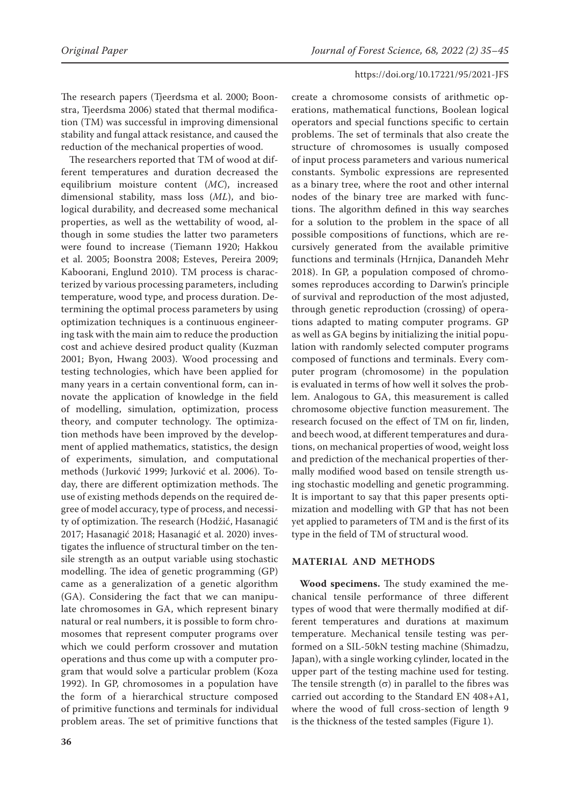The research papers (Tjeerdsma et al. 2000; Boonstra, Tjeerdsma 2006) stated that thermal modification (TM) was successful in improving dimensional stability and fungal attack resistance, and caused the reduction of the mechanical properties of wood.

The researchers reported that TM of wood at different temperatures and duration decreased the equilibrium moisture content (*MC*), increased dimensional stability, mass loss (*ML*), and biological durability, and decreased some mechanical properties, as well as the wettability of wood, although in some studies the latter two parameters were found to increase (Tiemann 1920; Hakkou et al. 2005; Boonstra 2008; Esteves, Pereira 2009; Kaboorani, Englund 2010). TM process is characterized by various processing parameters, including temperature, wood type, and process duration. Determining the optimal process parameters by using optimization techniques is a continuous engineering task with the main aim to reduce the production cost and achieve desired product quality (Kuzman 2001; Byon, Hwang 2003). Wood processing and testing technologies, which have been applied for many years in a certain conventional form, can innovate the application of knowledge in the field of modelling, simulation, optimization, process theory, and computer technology. The optimization methods have been improved by the development of applied mathematics, statistics, the design of experiments, simulation, and computational methods (Jurković 1999; Jurković et al. 2006). Today, there are different optimization methods. The use of existing methods depends on the required degree of model accuracy, type of process, and necessity of optimization. The research (Hodžić, Hasanagić 2017; Hasanagić 2018; Hasanagić et al. 2020) investigates the influence of structural timber on the tensile strength as an output variable using stochastic modelling. The idea of genetic programming (GP) came as a generalization of a genetic algorithm (GA). Considering the fact that we can manipulate chromosomes in GA, which represent binary natural or real numbers, it is possible to form chromosomes that represent computer programs over which we could perform crossover and mutation operations and thus come up with a computer program that would solve a particular problem (Koza 1992). In GP, chromosomes in a population have the form of a hierarchical structure composed of primitive functions and terminals for individual problem areas. The set of primitive functions that

create a chromosome consists of arithmetic operations, mathematical functions, Boolean logical operators and special functions specific to certain problems. The set of terminals that also create the structure of chromosomes is usually composed of input process parameters and various numerical constants. Symbolic expressions are represented as a binary tree, where the root and other internal nodes of the binary tree are marked with functions. The algorithm defined in this way searches for a solution to the problem in the space of all possible compositions of functions, which are recursively generated from the available primitive functions and terminals (Hrnjica, Danandeh Mehr 2018). In GP, a population composed of chromosomes reproduces according to Darwin's principle of survival and reproduction of the most adjusted, through genetic reproduction (crossing) of operations adapted to mating computer programs. GP as well as GA begins by initializing the initial population with randomly selected computer programs composed of functions and terminals. Every computer program (chromosome) in the population is evaluated in terms of how well it solves the problem. Analogous to GA, this measurement is called chromosome objective function measurement. The research focused on the effect of TM on fir, linden, and beech wood, at different temperatures and durations, on mechanical properties of wood, weight loss and prediction of the mechanical properties of thermally modified wood based on tensile strength using stochastic modelling and genetic programming. It is important to say that this paper presents optimization and modelling with GP that has not been yet applied to parameters of TM and is the first of its type in the field of TM of structural wood.

# **MATERIAL AND METHODS**

**Wood specimens.** The study examined the mechanical tensile performance of three different types of wood that were thermally modified at different temperatures and durations at maximum temperature. Mechanical tensile testing was performed on a SIL-50kN testing machine (Shimadzu, Japan), with a single working cylinder, located in the upper part of the testing machine used for testing. The tensile strength  $(\sigma)$  in parallel to the fibres was carried out according to the Standard EN 408+A1, where the wood of full cross-section of length 9 is the thickness of the tested samples (Figure 1).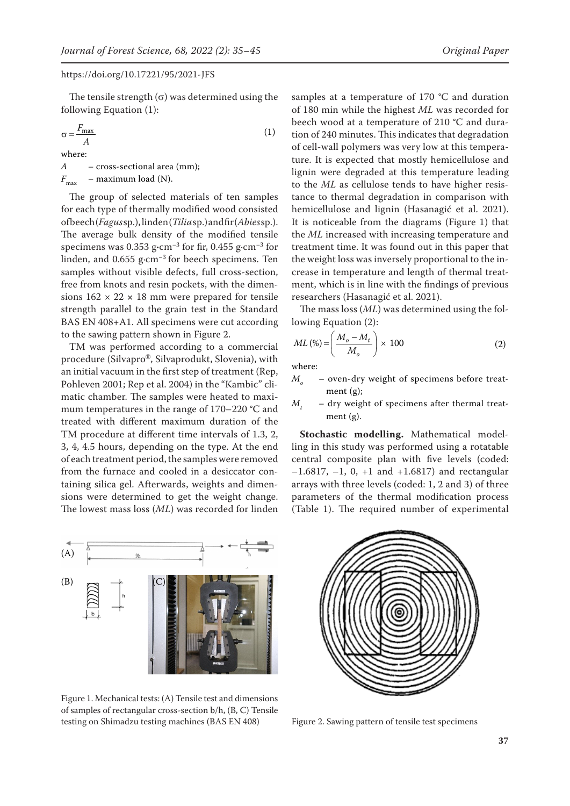The tensile strength  $(\sigma)$  was determined using the following Equation (1):

$$
\sigma = \frac{F_{\text{max}}}{A}
$$
\nwhere:  
\n
$$
A = \text{cross-sectional area (mm);}
$$
\n(1)

 $F_{\text{max}}$  – maximum load (N).

The group of selected materials of ten samples for each type of thermally modified wood consisted of beech (*Fagus* sp.), linden (*Tilia* sp.) and fir (*Abies* sp.). The average bulk density of the modified tensile specimens was 0.353 g**·**cm–3 for fir, 0.455 g·cm–3 for linden, and 0.655 g·cm–3 for beech specimens. Ten samples without visible defects, full cross-section, free from knots and resin pockets, with the dimensions  $162 \times 22 \times 18$  mm were prepared for tensile strength parallel to the grain test in the Standard BAS EN 408+A1. All specimens were cut according to the sawing pattern shown in Figure 2.

TM was performed according to a commercial procedure (Silvapro®, Silvaprodukt, Slovenia), with an initial vacuum in the first step of treatment (Rep, Pohleven 2001; Rep et al. 2004) in the "Kambic" climatic chamber. The samples were heated to maximum temperatures in the range of 170–220 **°**C and treated with different maximum duration of the TM procedure at different time intervals of 1.3, 2, 3, 4, 4.5 hours, depending on the type. At the end of each treatment period, the samples were removed from the furnace and cooled in a desiccator containing silica gel. Afterwards, weights and dimensions were determined to get the weight change. The lowest mass loss (*ML*) was recorded for linden

samples at a temperature of 170 **°**C and duration of 180 min while the highest *ML* was recorded for beech wood at a temperature of 210 **°**C and duration of 240 minutes. This indicates that degradation of cell-wall polymers was very low at this temperature. It is expected that mostly hemicellulose and lignin were degraded at this temperature leading to the *ML* as cellulose tends to have higher resistance to thermal degradation in comparison with hemicellulose and lignin (Hasanagić et al. 2021). It is noticeable from the diagrams (Figure 1) that the *ML* increased with increasing temperature and treatment time. It was found out in this paper that the weight loss was inversely proportional to the increase in temperature and length of thermal treatment, which is in line with the findings of previous researchers (Hasanagić et al. 2021).

The mass loss (*ML*) was determined using the following Equation (2):

$$
ML\left(\% \right) = \left(\frac{M_o - M_t}{M_o}\right) \times 100\tag{2}
$$

where:

- *M<sub>o</sub>* oven-dry weight of specimens before treatment (g);
- $M_{\star}$  dry weight of specimens after thermal treatment (g).

**Stochastic modelling.** Mathematical modelling in this study was performed using a rotatable central composite plan with five levels (coded:  $-1.6817, -1, 0, +1$  and  $+1.6817$ ) and rectangular arrays with three levels (coded: 1, 2 and 3) of three parameters of the thermal modification process (Table 1). The required number of experimental



Figure 1. Mechanical tests: (A) Tensile test and dimensions of samples of rectangular cross-section b/h, (B, C) Tensile testing on Shimadzu testing machines (BAS EN 408) Figure 2. Sawing pattern of tensile test specimens

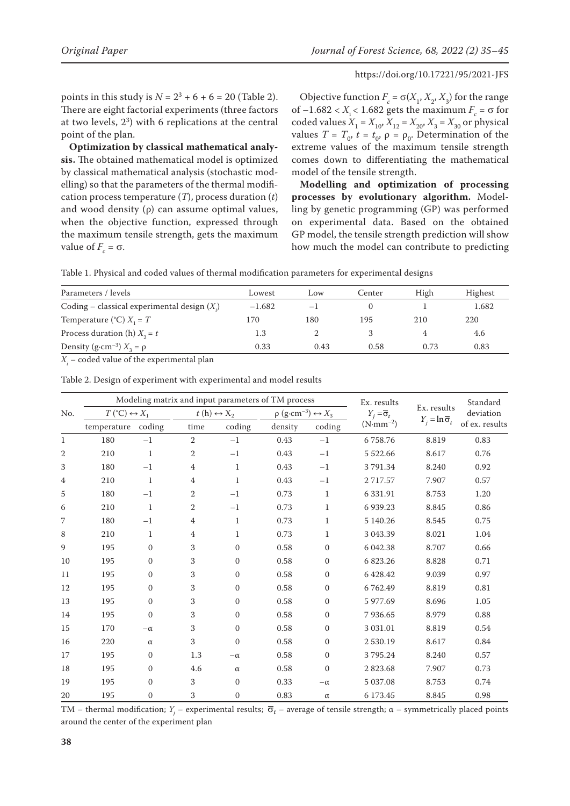points in this study is  $N = 2^3 + 6 + 6 = 20$  (Table 2). There are eight factorial experiments (three factors at two levels, 2<sup>3</sup> ) with 6 replications at the central point of the plan.

**Optimization by classical mathematical analysis.** The obtained mathematical model is optimized by classical mathematical analysis (stochastic modelling) so that the parameters of the thermal modification process temperature (*T*), process duration (*t*) and wood density (ρ) can assume optimal values, when the objective function, expressed through the maximum tensile strength, gets the maximum value of  $F_c = \sigma$ .

Objective function  $F_c = \sigma(X_1, X_2, X_3)$  for the range of  $-1.682 < X_i < 1.682$  gets the maximum  $F_c = \sigma$  for coded values  $X_1 = X_{10}$ ,  $X_{12} = X_{20}$ ,  $X_3 = X_{30}$  or physical values  $T = T_0$ ,  $t = t_0$ ,  $\rho = \rho_0$ . Determination of the extreme values of the maximum tensile strength comes down to differentiating the mathematical model of the tensile strength.

**Modelling and optimization of processing processes by evolutionary algorithm.** Modelling by genetic programming (GP) was performed on experimental data. Based on the obtained GP model, the tensile strength prediction will show how much the model can contribute to predicting

| Table 1. Physical and coded values of thermal modification parameters for experimental designs |  |  |  |
|------------------------------------------------------------------------------------------------|--|--|--|
|------------------------------------------------------------------------------------------------|--|--|--|

| Parameters / levels                            | Lowest   | Low  | Center | High | Highest |
|------------------------------------------------|----------|------|--------|------|---------|
| Coding – classical experimental design $(X_i)$ | $-1.682$ | $-1$ |        |      | 1.682   |
| Temperature (°C) $X_1 = T$                     | 170      | 180  | 195    | 210  | 220     |
| Process duration (h) $X_2 = t$                 | 1.3      |      |        |      | 4.6     |
| Density (g·cm <sup>-3</sup> ) $X_3 = \rho$     | 0.33     | 0.43 | 0.58   | 0.73 | 0.83    |

 $X_i$  – coded value of the experimental plan

|                | Modeling matrix and input parameters of TM process |                  |                |                            |         |                                                      | Ex. results         |                                 | Standard       |
|----------------|----------------------------------------------------|------------------|----------------|----------------------------|---------|------------------------------------------------------|---------------------|---------------------------------|----------------|
| No.            | $T({}^{\circ}C) \leftrightarrow X_1$               |                  |                | $t(h) \leftrightarrow X_2$ |         | $\rho$ (g·cm <sup>-3</sup> ) $\leftrightarrow$ $X_3$ |                     | Ex. results                     | deviation      |
|                | temperature                                        | coding           | time           | coding                     | density | coding                                               | $(N \cdot mm^{-2})$ | $Y_i = \ln \overline{\sigma}_t$ | of ex. results |
| $\mathbf{1}$   | 180                                                | $-1$             | $\overline{2}$ | $-1$                       | 0.43    | $-1$                                                 | 6758.76             | 8.819                           | 0.83           |
| $\overline{2}$ | 210                                                | $\mathbf{1}$     | 2              | $-1$                       | 0.43    | $-1$                                                 | 5 5 2 2.66          | 8.617                           | 0.76           |
| 3              | 180                                                | $-1$             | 4              | 1                          | 0.43    | $-1$                                                 | 3791.34             | 8.240                           | 0.92           |
| 4              | 210                                                | 1                | 4              | 1                          | 0.43    | $^{-1}$                                              | 2 7 1 7 .57         | 7.907                           | 0.57           |
| 5              | 180                                                | $-1$             | $\overline{2}$ | $-1$                       | 0.73    | $\mathbf{1}$                                         | 6 3 3 1.9 1         | 8.753                           | 1.20           |
| 6              | 210                                                | 1                | 2              | $^{-1}$                    | 0.73    | 1                                                    | 6 9 39.23           | 8.845                           | 0.86           |
| 7              | 180                                                | $-1$             | 4              | 1                          | 0.73    | $\mathbf{1}$                                         | 5 140.26            | 8.545                           | 0.75           |
| 8              | 210                                                | 1                | 4              | 1                          | 0.73    | 1                                                    | 3 043.39            | 8.021                           | 1.04           |
| 9              | 195                                                | $\mathbf{0}$     | 3              | $\Omega$                   | 0.58    | $\mathbf{0}$                                         | 6 042.38            | 8.707                           | 0.66           |
| 10             | 195                                                | $\mathbf{0}$     | 3              | $\mathbf{0}$               | 0.58    | $\mathbf{0}$                                         | 6 823.26            | 8.828                           | 0.71           |
| 11             | 195                                                | $\mathbf{0}$     | 3              | $\Omega$                   | 0.58    | $\mathbf{0}$                                         | 6 428.42            | 9.039                           | 0.97           |
| 12             | 195                                                | $\mathbf{0}$     | 3              | $\mathbf{0}$               | 0.58    | $\mathbf{0}$                                         | 6762.49             | 8.819                           | 0.81           |
| 13             | 195                                                | $\mathbf{0}$     | 3              | $\mathbf{0}$               | 0.58    | $\mathbf{0}$                                         | 5 977.69            | 8.696                           | 1.05           |
| 14             | 195                                                | $\boldsymbol{0}$ | 3              | $\mathbf{0}$               | 0.58    | $\boldsymbol{0}$                                     | 7936.65             | 8.979                           | 0.88           |
| 15             | 170                                                | $-\alpha$        | 3              | $\Omega$                   | 0.58    | $\Omega$                                             | 3 031.01            | 8.819                           | 0.54           |
| 16             | 220                                                | $\alpha$         | 3              | $\mathbf{0}$               | 0.58    | $\mathbf{0}$                                         | 2530.19             | 8.617                           | 0.84           |
| 17             | 195                                                | $\mathbf{0}$     | 1.3            | $-\alpha$                  | 0.58    | $\mathbf{0}$                                         | 3795.24             | 8.240                           | 0.57           |
| 18             | 195                                                | $\mathbf{0}$     | 4.6            | $\alpha$                   | 0.58    | $\mathbf{0}$                                         | 2823.68             | 7.907                           | 0.73           |
| 19             | 195                                                | $\mathbf{0}$     | 3              | $\mathbf{0}$               | 0.33    | $-\alpha$                                            | 5 037.08            | 8.753                           | 0.74           |
| 20             | 195                                                | $\mathbf{0}$     | 3              | $\mathbf{0}$               | 0.83    | $\alpha$                                             | 6 173.45            | 8.845                           | 0.98           |

Table 2. Design of experiment with experimental and model results

TM – thermal modification; *Y<sub>j</sub>* – experimental results;  $\bar{\sigma}_t$  – average of tensile strength; α – symmetrically placed points around the center of the experiment plan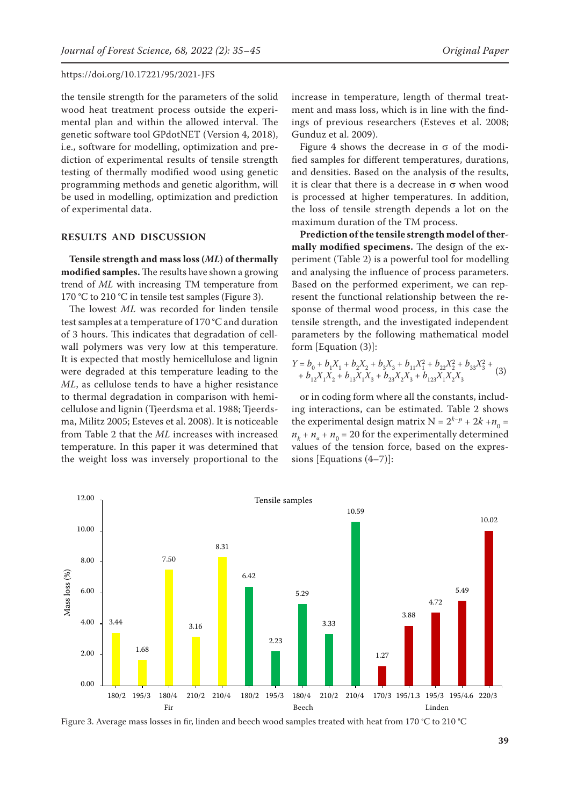the tensile strength for the parameters of the solid wood heat treatment process outside the experimental plan and within the allowed interval. The genetic software tool GPdotNET (Version 4, 2018), i.e., software for modelling, optimization and prediction of experimental results of tensile strength testing of thermally modified wood using genetic programming methods and genetic algorithm, will be used in modelling, optimization and prediction of experimental data.

## **RESULTS AND DISCUSSION**

**Tensile strength and mass loss (***ML***) of thermally modified samples.** The results have shown a growing trend of *ML* with increasing TM temperature from 170 **°**C to 210 **°**C in tensile test samples (Figure 3).

The lowest *ML* was recorded for linden tensile test samples at a temperature of 170 **°**C and duration of 3 hours. This indicates that degradation of cellwall polymers was very low at this temperature. It is expected that mostly hemicellulose and lignin were degraded at this temperature leading to the *ML*, as cellulose tends to have a higher resistance to thermal degradation in comparison with hemicellulose and lignin (Tjeerdsma et al. 1988; Tjeerdsma, Militz 2005; Esteves et al. 2008). It is noticeable from Table 2 that the *ML* increases with increased temperature. In this paper it was determined that the weight loss was inversely proportional to the increase in temperature, length of thermal treatment and mass loss, which is in line with the findings of previous researchers (Esteves et al. 2008; Gunduz et al. 2009).

Figure 4 shows the decrease in  $\sigma$  of the modified samples for different temperatures, durations, and densities. Based on the analysis of the results, it is clear that there is a decrease in σ when wood is processed at higher temperatures. In addition, the loss of tensile strength depends a lot on the maximum duration of the TM process.

**Prediction of the tensile strength model of thermally modified specimens.** The design of the experiment (Table 2) is a powerful tool for modelling and analysing the influence of process parameters. Based on the performed experiment, we can represent the functional relationship between the response of thermal wood process, in this case the tensile strength, and the investigated independent parameters by the following mathematical model form [Equation (3)]:

$$
\begin{array}{l} Y = b_0 + b_1 X_1 + b_2 X_2 + b_3 X_3 + b_{11} X_1^2 + b_{22} X_2^2 + b_{33} X_3^2 + \\ + b_{12} X_1 X_2 + b_{13} X_1 X_3 + b_{23} X_2 X_3 + b_{123} X_1 X_2 X_3 \end{array} \quad (3)
$$

or in coding form where all the constants, including interactions, can be estimated. Table 2 shows the experimental design matrix  $N = 2^{k-p} + 2k + n_0 =$  $n_k + n_\alpha + n_0 = 20$  for the experimentally determined values of the tension force, based on the expressions [Equations (4–7)]:



Figure 3. Average mass losses in fir, linden and beech wood samples treated with heat from 170 °C to 210 **°**C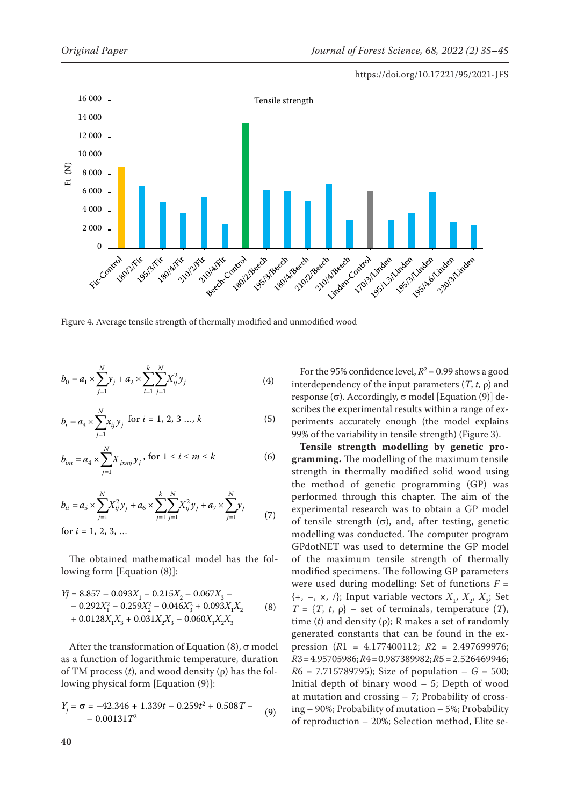

Figure 4. Average tensile strength of thermally modified and unmodified wood

$$
b_0 = a_1 \times \sum_{j=1}^{N} y_j + a_2 \times \sum_{i=1}^{k} \sum_{j=1}^{N} X_{ij}^2 y_j
$$
 (4)

$$
b_i = a_3 \times \sum_{j=1}^{N} x_{ij} y_j \text{ for } i = 1, 2, 3 ..., k
$$
 (5)

$$
b_{im} = a_4 \times \sum_{j=1}^{N} X_{jxmj} y_j, \text{ for } 1 \le i \le m \le k
$$
 (6)

$$
b_{ii} = a_5 \times \sum_{j=1}^{N} X_{ij}^2 y_j + a_6 \times \sum_{j=1}^{k} \sum_{j=1}^{N} X_{ij}^2 y_j + a_7 \times \sum_{j=1}^{N} y_j
$$
  
for  $i = 1, 2, 3, ...$  (7)

The obtained mathematical model has the following form [Equation (8)]:

$$
Yj = 8.857 - 0.093X_1 - 0.215X_2 - 0.067X_3 - 0.292X_1^2 - 0.259X_2^2 - 0.046X_3^2 + 0.093X_1X_2 + 0.0128X_1X_3 + 0.031X_2X_3 - 0.060X_1X_2X_3
$$
 (8)

After the transformation of Equation (8),  $\sigma$  model as a function of logarithmic temperature, duration of TM process (*t*), and wood density (ρ) has the following physical form [Equation (9)]:

$$
Y_j = \sigma = -42.346 + 1.339t - 0.259t^2 + 0.508T - 0.00131T^2
$$
\n(9)

For the 95% confidence level,  $R^2$  = 0.99 shows a good interdependency of the input parameters  $(T, t, \rho)$  and response (σ). Accordingly, σ model [Equation (9)] describes the experimental results within a range of experiments accurately enough (the model explains 99% of the variability in tensile strength) (Figure 3).

**Tensile strength modelling by genetic programming.** The modelling of the maximum tensile strength in thermally modified solid wood using the method of genetic programming (GP) was performed through this chapter. The aim of the experimental research was to obtain a GP model of tensile strength  $(\sigma)$ , and, after testing, genetic modelling was conducted. The computer program GPdotNET was used to determine the GP model of the maximum tensile strength of thermally modified specimens. The following GP parameters were used during modelling: Set of functions  $F =$  $\{+, -, \times, / \}$ ; Input variable vectors  $X_1, X_2, X_3$ ; Set  $T = \{T, t, \rho\}$  – set of terminals, temperature  $(T)$ , time (*t*) and density (ρ); R makes a set of randomly generated constants that can be found in the expression (*R*1 = 4.177400112; *R*2 = 2.497699976; *R*3=4.95705986; *R*4=0.987389982; *R*5=2.526469946;  $R6 = 7.715789795$ ; Size of population  $- G = 500$ ; Initial depth of binary wood  $-5$ ; Depth of wood at mutation and crossing – 7; Probability of crossing – 90%; Probability of mutation – 5%; Probability of reproduction – 20%; Selection method, Elite se-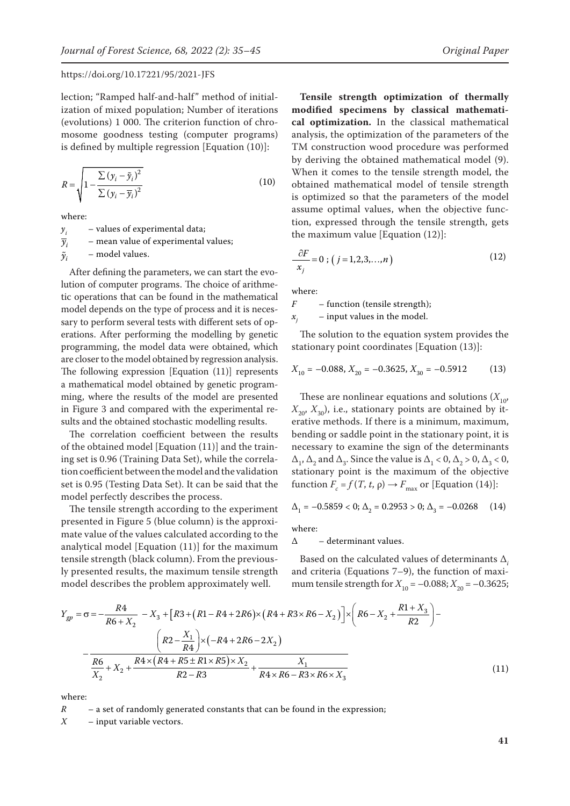lection; "Ramped half-and-half" method of initialization of mixed population; Number of iterations (evolutions) 1 000. The criterion function of chromosome goodness testing (computer programs) is defined by multiple regression [Equation (10)]:

$$
R = \sqrt{1 - \frac{\sum (y_i - \tilde{y}_i)^2}{\sum (y_i - \overline{y}_i)^2}}
$$
(10)

where:

 $y_i$  – values of experimental data;  $\overline{y}_i$  – mean value of experimental values;

 $\tilde{y}_i$  – model values.

After defining the parameters, we can start the evolution of computer programs. The choice of arithmetic operations that can be found in the mathematical model depends on the type of process and it is necessary to perform several tests with different sets of operations. After performing the modelling by genetic programming, the model data were obtained, which are closer to the model obtained by regression analysis. The following expression [Equation (11)] represents a mathematical model obtained by genetic programming, where the results of the model are presented in Figure 3 and compared with the experimental results and the obtained stochastic modelling results.

The correlation coefficient between the results of the obtained model [Equation (11)] and the training set is 0.96 (Training Data Set), while the correlation coefficient between the model and the validation set is 0.95 (Testing Data Set). It can be said that the model perfectly describes the process.

The tensile strength according to the experiment presented in Figure 5 (blue column) is the approximate value of the values calculated according to the analytical model [Equation (11)] for the maximum tensile strength (black column). From the previously presented results, the maximum tensile strength model describes the problem approximately well.

**Tensile strength optimization of thermally modified specimens by classical mathematical optimization.** In the classical mathematical analysis, the optimization of the parameters of the TM construction wood procedure was performed by deriving the obtained mathematical model (9). When it comes to the tensile strength model, the obtained mathematical model of tensile strength is optimized so that the parameters of the model assume optimal values, when the objective function, expressed through the tensile strength, gets the maximum value [Equation (12)]:

$$
\frac{\partial F}{x_j} = 0 \; ; \; \left( \; j = 1, 2, 3, \dots, n \; \right) \tag{12}
$$

where:

*F* – function (tensile strength);

 $x_i$  – input values in the model.

The solution to the equation system provides the stationary point coordinates [Equation (13)]:

$$
X_{10} = -0.088, X_{20} = -0.3625, X_{30} = -0.5912 \tag{13}
$$

These are nonlinear equations and solutions  $(X_{10},$  $X_{20}$ ,  $X_{30}$ , i.e., stationary points are obtained by iterative methods. If there is a minimum, maximum, bending or saddle point in the stationary point, it is necessary to examine the sign of the determinants  $\Delta_1$ ,  $\Delta_2$  and  $\Delta_3$ . Since the value is  $\Delta_1 < 0$ ,  $\Delta_2 > 0$ ,  $\Delta_3 < 0$ , stationary point is the maximum of the objective function  $F_c = f(T, t, \rho) \rightarrow F_{\text{max}}$  or [Equation (14)]:

$$
\Delta_1 = -0.5859 < 0; \Delta_2 = 0.2953 > 0; \Delta_3 = -0.0268 \tag{14}
$$

where:

 $\Delta$  – determinant values.

Based on the calculated values of determinants Δ*<sup>i</sup>* and criteria (Equations 7–9), the function of maximum tensile strength for  $X_{10} = -0.088; X_{20} = -0.3625;$ 

$$
Y_{gp} = \sigma = -\frac{R4}{R6 + X_2} - X_3 + [R3 + (R1 - R4 + 2R6) \times (R4 + R3 \times R6 - X_2)] \times \left(R6 - X_2 + \frac{R1 + X_3}{R2}\right) - \frac{\left(R2 - \frac{X_1}{R4}\right) \times (-R4 + 2R6 - 2X_2)}{\frac{R6}{X_2} + X_2 + \frac{R4 \times (R4 + R5 \pm R1 \times R5) \times X_2}{R2 - R3} + \frac{X_1}{R4 \times R6 - R3 \times R6 \times X_3}
$$
(11)

where:

*R* – a set of randomly generated constants that can be found in the expression;

*X* – input variable vectors.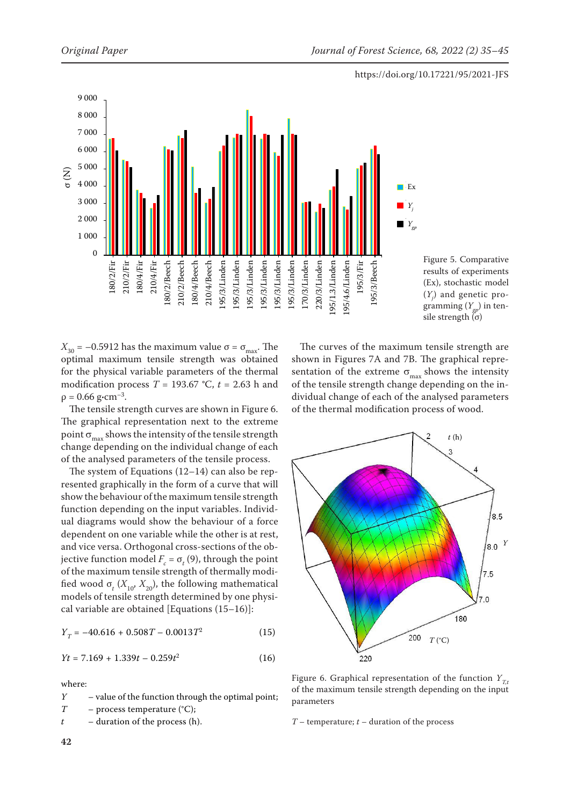



 $X_{30}$  = –0.5912 has the maximum value  $\sigma = \sigma_{\text{max}}$ . The optimal maximum tensile strength was obtained for the physical variable parameters of the thermal modification process  $T = 193.67$  °C,  $t = 2.63$  h and  $ρ = 0.66$  g·cm<sup>-3</sup>.

The tensile strength curves are shown in Figure 6. The graphical representation next to the extreme point  $\sigma_{\text{max}}$  shows the intensity of the tensile strength change depending on the individual change of each of the analysed parameters of the tensile process.

The system of Equations (12–14) can also be represented graphically in the form of a curve that will show the behaviour of the maximum tensile strength function depending on the input variables. Individual diagrams would show the behaviour of a force dependent on one variable while the other is at rest, and vice versa. Orthogonal cross-sections of the objective function model  $F_c = \sigma_t(9)$ , through the point of the maximum tensile strength of thermally modified wood  $\sigma_t$  ( $X_{10}$ ,  $X_{20}$ ), the following mathematical models of tensile strength determined by one physical variable are obtained [Equations (15–16)]:

$$
Y_T = -40.616 + 0.508T - 0.0013T^2 \tag{15}
$$

$$
Yt = 7.169 + 1.339t - 0.259t^2 \tag{16}
$$

where:

*Y* – value of the function through the optimal point; *T* – process temperature (°C); *t* – duration of the process (h).

The curves of the maximum tensile strength are shown in Figures 7A and 7B. The graphical representation of the extreme  $\sigma_{\text{max}}$  shows the intensity of the tensile strength change depending on the individual change of each of the analysed parameters of the thermal modification process of wood.



Figure 6. Graphical representation of the function  $Y_{Tt}$ of the maximum tensile strength depending on the input parameters

#### *T* – temperature; *t* – duration of the process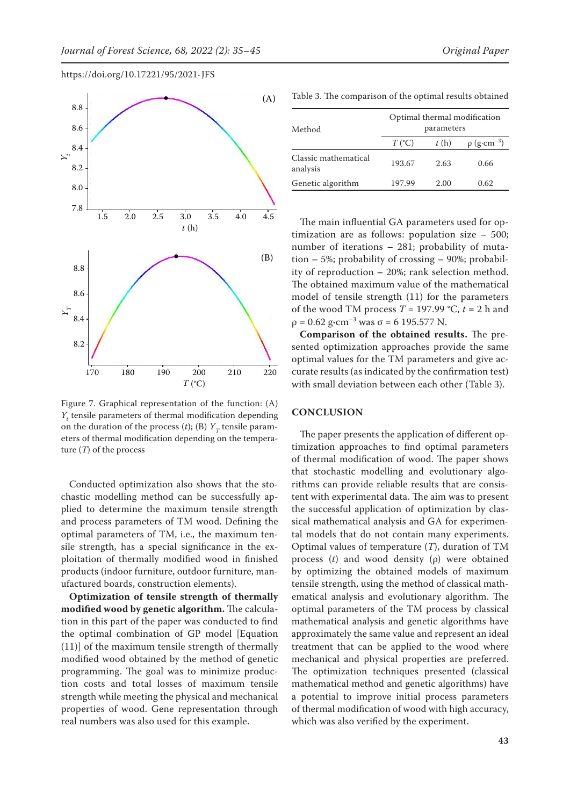

https://doi.org/10.17221/95/2021-JFS

Figure 7. Graphical representation of the function: (A) *Y*<sub>t</sub> tensile parameters of thermal modification depending on the duration of the process  $(t)$ ;  $(B)$   $Y<sub>T</sub>$  tensile parameters of thermal modification depending on the temperature (*T*) of the process

Conducted optimization also shows that the stochastic modelling method can be successfully applied to determine the maximum tensile strength and process parameters of TM wood. Defining the optimal parameters of TM, i.e., the maximum tensile strength, has a special significance in the exploitation of thermally modified wood in finished products (indoor furniture, outdoor furniture, manufactured boards, construction elements).

**Optimization of tensile strength of thermally modified wood by genetic algorithm.** The calculation in this part of the paper was conducted to find the optimal combination of GP model [Equation (11)] of the maximum tensile strength of thermally modified wood obtained by the method of genetic programming. The goal was to minimize production costs and total losses of maximum tensile strength while meeting the physical and mechanical properties of wood. Gene representation through real numbers was also used for this example.

| Method                           | Optimal thermal modification<br>parameters |      |                              |  |  |
|----------------------------------|--------------------------------------------|------|------------------------------|--|--|
|                                  | $T({}^{\circ}C)$                           | t(h) | $\rho$ (g·cm <sup>-3</sup> ) |  |  |
| Classic mathematical<br>analysis | 193.67                                     | 2.63 | 0.66                         |  |  |
| Genetic algorithm                | 197.99                                     | 2.00 | 0.62                         |  |  |

The main influential GA parameters used for optimization are as follows: population size **–**  500; number of iterations **–**  281; probability of mutation **–** 5%; probability of crossing **–** 90%; probability of reproduction **–** 20%; rank selection method. The obtained maximum value of the mathematical model of tensile strength (11) for the parameters of the wood TM process  $T = 197.99$  °C,  $t = 2$  h and ρ = 0.62 g**·**cm–3 was σ = 6 195.577 N.

**Comparison of the obtained results.** The presented optimization approaches provide the same optimal values for the TM parameters and give accurate results (as indicated by the confirmation test) with small deviation between each other (Table 3).

## **CONCLUSION**

The paper presents the application of different optimization approaches to find optimal parameters of thermal modification of wood. The paper shows that stochastic modelling and evolutionary algorithms can provide reliable results that are consistent with experimental data. The aim was to present the successful application of optimization by classical mathematical analysis and GA for experimental models that do not contain many experiments. Optimal values of temperature (*T*), duration of TM process (*t*) and wood density (ρ) were obtained by optimizing the obtained models of maximum tensile strength, using the method of classical mathematical analysis and evolutionary algorithm. The optimal parameters of the TM process by classical mathematical analysis and genetic algorithms have approximately the same value and represent an ideal treatment that can be applied to the wood where mechanical and physical properties are preferred. The optimization techniques presented (classical mathematical method and genetic algorithms) have a potential to improve initial process parameters of thermal modification of wood with high accuracy, which was also verified by the experiment.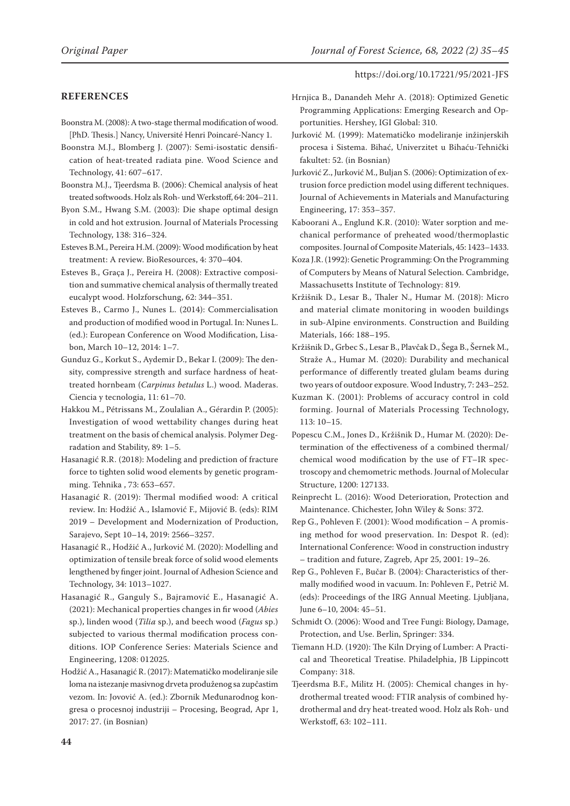## **REFERENCES**

- Boonstra M. (2008): A two-stage thermal modification of wood. [PhD. Thesis.] Nancy, Université Henri Poincaré-Nancy 1.
- Boonstra M.J., Blomberg J. (2007): Semi-isostatic densification of heat-treated radiata pine. Wood Science and Technology, 41: 607–617.
- Boonstra M.J., Tjeerdsma B. (2006): Chemical analysis of heat treated softwoods. Holz als Roh- und Werkstoff, 64: 204–211.
- Byon S.M., Hwang S.M. (2003): Die shape optimal design in cold and hot extrusion. Journal of Materials Processing Technology, 138: 316–324.
- Esteves B.M., Pereira H.M. (2009): Wood modification by heat treatment: A review. BioResources, 4: 370–404.
- Esteves B., Graça J., Pereira H. (2008): Extractive composition and summative chemical analysis of thermally treated eucalypt wood. Holzforschung, 62: 344–351.
- Esteves B., Carmo J., Nunes L. (2014): Commercialisation and production of modified wood in Portugal. In: Nunes L. (ed.): European Conference on Wood Modification, Lisabon, March 10–12, 2014: 1–7.
- Gunduz G., Korkut S., Aydemir D., Bekar I. (2009): The density, compressive strength and surface hardness of heattreated hornbeam (*Carpinus betulus* L.) wood. Maderas. Ciencia y tecnologia, 11: 61–70.
- Hakkou M., Pétrissans M., Zoulalian A., Gérardin P. (2005): Investigation of wood wettability changes during heat treatment on the basis of chemical analysis. Polymer Degradation and Stability, 89: 1–5.
- Hasanagić R.R. (2018): Modeling and prediction of fracture force to tighten solid wood elements by genetic programming. Tehnika , 73: 653–657.
- Hasanagić R. (2019): Thermal modified wood: A critical review. In: Hodžić A., Islamović F., Mijović B. (eds): RIM 2019 – Development and Modernization of Production, Sarajevo, Sept 10–14, 2019: 2566–3257.
- Hasanagić R., Hodžić A., Jurković M. (2020): Modelling and optimization of tensile break force of solid wood elements lengthened by finger joint. Journal of Adhesion Science and Technology, 34: 1013–1027.
- Hasanagić R., Ganguly S., Bajramović E., Hasanagić A. (2021): Mechanical properties changes in fir wood (*Abies* sp.), linden wood (*Tilia* sp.), and beech wood (*Fagus* sp.) subjected to various thermal modification process conditions. IOP Conference Series: Materials Science and Engineering, 1208: 012025.
- Hodžić A., Hasanagić R. (2017): Matematičko modeliranje sile loma na istezanje masivnog drveta produženog sa zupčastim vezom. In: Jovović A. (ed.): Zbornik Međunarodnog kongresa o procesnoj industriji – Procesing, Beograd, Apr 1, 2017: 27. (in Bosnian)
- Hrnjica B., Danandeh Mehr A. (2018): Optimized Genetic Programming Applications: Emerging Research and Opportunities. Hershey, IGI Global: 310.
- Jurković M. (1999): Matematičko modeliranje inžinjerskih procesa i Sistema. Bihać, Univerzitet u Bihaću-Tehnički fakultet: 52. (in Bosnian)
- Jurković Z., Jurković M., Buljan S. (2006): Optimization of extrusion force prediction model using different techniques. Journal of Achievements in Materials and Manufacturing Engineering, 17: 353–357.
- Kaboorani A., Englund K.R. (2010): Water sorption and mechanical performance of preheated wood/thermoplastic composites. Journal of Composite Materials, 45: 1423–1433.
- Koza J.R. (1992): Genetic Programming: On the Programming of Computers by Means of Natural Selection. Cambridge, Massachusetts Institute of Technology: 819.
- Kržišnik D., Lesar B., Thaler N., Humar M. (2018): Micro and material climate monitoring in wooden buildings in sub-Alpine environments. Construction and Building Materials, 166: 188–195.
- Kržišnik D., Grbec S., Lesar B., Plavčak D., Šega B., Šernek M., Straže A., Humar M. (2020): Durability and mechanical performance of differently treated glulam beams during two years of outdoor exposure. Wood Industry, 7: 243–252.
- Kuzman K. (2001): Problems of accuracy control in cold forming. Journal of Materials Processing Technology, 113: 10–15.
- Popescu C.M., Jones D., Kržišnik D., Humar M. (2020): Determination of the effectiveness of a combined thermal/ chemical wood modification by the use of FT–IR spectroscopy and chemometric methods. Journal of Molecular Structure, 1200: 127133.
- Reinprecht L. (2016): Wood Deterioration, Protection and Maintenance. Chichester, John Wiley & Sons: 372.
- Rep G., Pohleven F. (2001): Wood modification A promising method for wood preservation. In: Despot R. (ed): International Conference: Wood in construction industry – tradition and future, Zagreb, Apr 25, 2001: 19–26.
- Rep G., Pohleven F., Bučar B. (2004): Characteristics of thermally modified wood in vacuum. In: Pohleven F., Petrič M. (eds): Proceedings of the IRG Annual Meeting. Ljubljana, June 6–10, 2004: 45–51.
- Schmidt O. (2006): Wood and Tree Fungi: Biology, Damage, Protection, and Use. Berlin, Springer: 334.
- Tiemann H.D. (1920): The Kiln Drying of Lumber: A Practical and Theoretical Treatise. Philadelphia, JB Lippincott Company: 318.
- Tjeerdsma B.F., Militz H. (2005): Chemical changes in hydrothermal treated wood: FTIR analysis of combined hydrothermal and dry heat-treated wood. Holz als Roh- und Werkstoff, 63: 102–111.